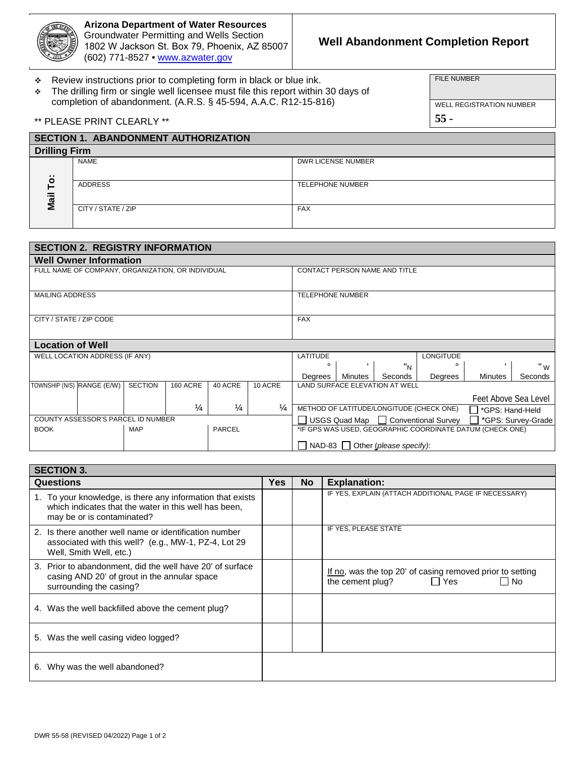

**Arizona Department of Water Resources**  Groundwater Permitting and Wells Section 1802 W Jackson St. Box 79, Phoenix, AZ 85007 (602) [771-8527 • ww](http://www.azwater.gov/)w.azwater.gov

# **Well Abandonment Completion Report**

\* Review instructions prior to completing form in black or blue ink.

 The drilling firm or single well licensee must file this report within 30 days of completion of abandonment. (A.R.S. § 45-594, A.A.C. R12-15-816)

FILE NUMBER

WELL REGISTRATION NUMBER

**55 -** 

\*\* PLEASE PRINT CLEARLY \*\*

| <b>SECTION 1. ABANDONMENT AUTHORIZATION</b> |                    |                         |  |  |  |  |  |  |  |  |  |
|---------------------------------------------|--------------------|-------------------------|--|--|--|--|--|--|--|--|--|
| <b>Drilling Firm</b>                        |                    |                         |  |  |  |  |  |  |  |  |  |
|                                             | <b>NAME</b>        | DWR LICENSE NUMBER      |  |  |  |  |  |  |  |  |  |
| $\ddot{\circ}$                              |                    |                         |  |  |  |  |  |  |  |  |  |
|                                             | <b>ADDRESS</b>     | <b>TELEPHONE NUMBER</b> |  |  |  |  |  |  |  |  |  |
| $\overline{a}$                              |                    |                         |  |  |  |  |  |  |  |  |  |
| Σ                                           | CITY / STATE / ZIP | <b>FAX</b>              |  |  |  |  |  |  |  |  |  |
|                                             |                    |                         |  |  |  |  |  |  |  |  |  |

| <b>SECTION 2. REGISTRY INFORMATION</b> |                                                   |                                                           |                 |               |                                                           |                                                             |         |         |         |                |         |  |  |  |  |  |  |  |
|----------------------------------------|---------------------------------------------------|-----------------------------------------------------------|-----------------|---------------|-----------------------------------------------------------|-------------------------------------------------------------|---------|---------|---------|----------------|---------|--|--|--|--|--|--|--|
| <b>Well Owner Information</b>          |                                                   |                                                           |                 |               |                                                           |                                                             |         |         |         |                |         |  |  |  |  |  |  |  |
|                                        | FULL NAME OF COMPANY, ORGANIZATION, OR INDIVIDUAL |                                                           |                 |               | CONTACT PERSON NAME AND TITLE                             |                                                             |         |         |         |                |         |  |  |  |  |  |  |  |
|                                        |                                                   |                                                           |                 |               |                                                           |                                                             |         |         |         |                |         |  |  |  |  |  |  |  |
| <b>MAILING ADDRESS</b>                 |                                                   |                                                           |                 |               | <b>TELEPHONE NUMBER</b>                                   |                                                             |         |         |         |                |         |  |  |  |  |  |  |  |
|                                        |                                                   |                                                           |                 |               |                                                           |                                                             |         |         |         |                |         |  |  |  |  |  |  |  |
| CITY / STATE / ZIP CODE                |                                                   |                                                           |                 |               | <b>FAX</b>                                                |                                                             |         |         |         |                |         |  |  |  |  |  |  |  |
|                                        |                                                   |                                                           |                 |               |                                                           |                                                             |         |         |         |                |         |  |  |  |  |  |  |  |
| <b>Location of Well</b>                |                                                   |                                                           |                 |               |                                                           |                                                             |         |         |         |                |         |  |  |  |  |  |  |  |
|                                        | WELL LOCATION ADDRESS (IF ANY)                    |                                                           |                 |               |                                                           | <b>LATITUDE</b><br><b>LONGITUDE</b>                         |         |         |         |                |         |  |  |  |  |  |  |  |
|                                        |                                                   |                                                           |                 |               |                                                           | $\circ$                                                     |         | "N      |         |                | " w     |  |  |  |  |  |  |  |
|                                        |                                                   |                                                           |                 |               |                                                           | Degrees                                                     | Minutes | Seconds | Degrees | <b>Minutes</b> | Seconds |  |  |  |  |  |  |  |
| TOWNSHIP (N/S) RANGE (E/W)             |                                                   | <b>SECTION</b>                                            | <b>160 ACRE</b> | 40 ACRE       | 10 ACRE                                                   | LAND SURFACE ELEVATION AT WELL                              |         |         |         |                |         |  |  |  |  |  |  |  |
|                                        |                                                   |                                                           |                 |               |                                                           | Feet Above Sea Level                                        |         |         |         |                |         |  |  |  |  |  |  |  |
|                                        |                                                   |                                                           | $\frac{1}{4}$   | $\frac{1}{4}$ | $\frac{1}{4}$                                             | METHOD OF LATITUDE/LONGITUDE (CHECK ONE)<br>*GPS: Hand-Held |         |         |         |                |         |  |  |  |  |  |  |  |
|                                        | COUNTY ASSESSOR'S PARCEL ID NUMBER                |                                                           |                 |               | USGS Quad Map   Conventional Survey<br>*GPS: Survey-Grade |                                                             |         |         |         |                |         |  |  |  |  |  |  |  |
| <b>BOOK</b>                            |                                                   | *IF GPS WAS USED, GEOGRAPHIC COORDINATE DATUM (CHECK ONE) |                 |               |                                                           |                                                             |         |         |         |                |         |  |  |  |  |  |  |  |
|                                        |                                                   |                                                           |                 |               | $\Box$ NAD-83 $\Box$ Other (please specify):              |                                                             |         |         |         |                |         |  |  |  |  |  |  |  |
|                                        |                                                   |                                                           |                 |               |                                                           |                                                             |         |         |         |                |         |  |  |  |  |  |  |  |

| <b>SECTION 3.</b>                                                                                                                                 |            |           |                                                                                                               |  |  |  |  |  |  |  |  |  |
|---------------------------------------------------------------------------------------------------------------------------------------------------|------------|-----------|---------------------------------------------------------------------------------------------------------------|--|--|--|--|--|--|--|--|--|
| Questions                                                                                                                                         | <b>Yes</b> | <b>No</b> | <b>Explanation:</b>                                                                                           |  |  |  |  |  |  |  |  |  |
| 1. To your knowledge, is there any information that exists<br>which indicates that the water in this well has been,<br>may be or is contaminated? |            |           | IF YES, EXPLAIN (ATTACH ADDITIONAL PAGE IF NECESSARY)                                                         |  |  |  |  |  |  |  |  |  |
| 2. Is there another well name or identification number<br>associated with this well? (e.g., MW-1, PZ-4, Lot 29<br>Well, Smith Well, etc.)         |            |           | IF YES, PLEASE STATE                                                                                          |  |  |  |  |  |  |  |  |  |
| 3. Prior to abandonment, did the well have 20' of surface<br>casing AND 20' of grout in the annular space<br>surrounding the casing?              |            |           | If no, was the top 20' of casing removed prior to setting<br>Yes<br>the cement plug?<br>$\mathbf{I}$<br>l INo |  |  |  |  |  |  |  |  |  |
| 4. Was the well backfilled above the cement plug?                                                                                                 |            |           |                                                                                                               |  |  |  |  |  |  |  |  |  |
| 5. Was the well casing video logged?                                                                                                              |            |           |                                                                                                               |  |  |  |  |  |  |  |  |  |
| 6. Why was the well abandoned?                                                                                                                    |            |           |                                                                                                               |  |  |  |  |  |  |  |  |  |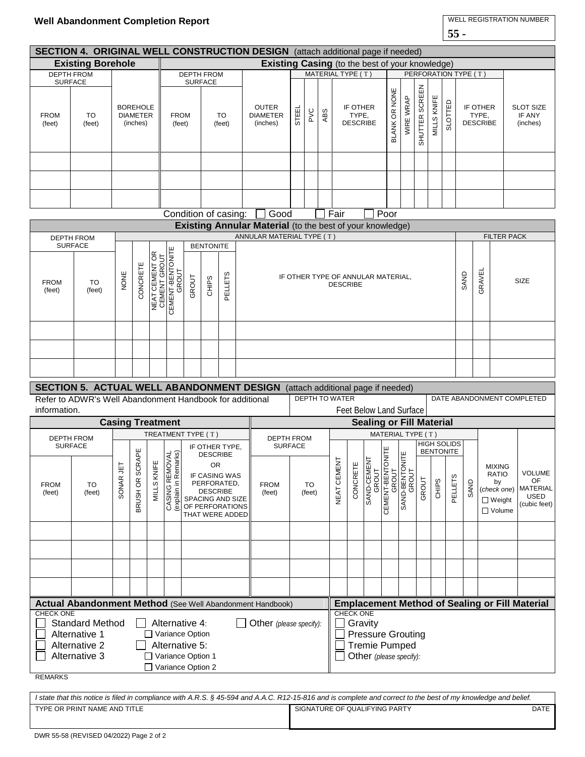| SECTION 4. ORIGINAL WELL CONSTRUCTION DESIGN (attach additional page if needed)                                                                                                                                           |                                                                                                                                                                                                                                                                                                                                      |      |                                                |                                |                                                                                       |                      |                       |                                                       |           |                                                                                        |                                                                  |                 |             |                                                                                |                                      |                         |                      |                   |                                        |                |                |                                                                                 |  |                                                                       |  |                                        |  |  |
|---------------------------------------------------------------------------------------------------------------------------------------------------------------------------------------------------------------------------|--------------------------------------------------------------------------------------------------------------------------------------------------------------------------------------------------------------------------------------------------------------------------------------------------------------------------------------|------|------------------------------------------------|--------------------------------|---------------------------------------------------------------------------------------|----------------------|-----------------------|-------------------------------------------------------|-----------|----------------------------------------------------------------------------------------|------------------------------------------------------------------|-----------------|-------------|--------------------------------------------------------------------------------|--------------------------------------|-------------------------|----------------------|-------------------|----------------------------------------|----------------|----------------|---------------------------------------------------------------------------------|--|-----------------------------------------------------------------------|--|----------------------------------------|--|--|
| <b>Existing Borehole</b>                                                                                                                                                                                                  |                                                                                                                                                                                                                                                                                                                                      |      |                                                |                                |                                                                                       |                      |                       |                                                       |           | <b>Existing Casing</b> (to the best of your knowledge)                                 |                                                                  |                 |             |                                                                                |                                      |                         |                      |                   |                                        |                |                |                                                                                 |  |                                                                       |  |                                        |  |  |
| <b>SURFACE</b>                                                                                                                                                                                                            | <b>DEPTH FROM</b>                                                                                                                                                                                                                                                                                                                    |      |                                                |                                | <b>DEPTH FROM</b><br><b>SURFACE</b>                                                   |                      |                       |                                                       |           |                                                                                        |                                                                  |                 |             |                                                                                | MATERIAL TYPE (T)                    |                         |                      |                   |                                        |                |                | PERFORATION TYPE (T)                                                            |  |                                                                       |  |                                        |  |  |
| <b>FROM</b><br>(feet)                                                                                                                                                                                                     | TO<br>(feet)                                                                                                                                                                                                                                                                                                                         |      | <b>BOREHOLE</b><br><b>DIAMETER</b><br>(inches) |                                | <b>FROM</b><br><b>TO</b><br>(feet)<br>(feet)                                          |                      |                       |                                                       |           |                                                                                        | <b>OUTER</b><br><b>DIAMETER</b><br>(inches)                      | PVC             | ABS         |                                                                                | IF OTHER<br>TYPE,<br><b>DESCRIBE</b> |                         | <b>BLANK OR NONE</b> | WIRE WRAP         | SHUTTER SCREEN                         | MILLS KNIFE    | <b>SLOTTED</b> |                                                                                 |  | IF OTHER<br>TYPE,<br><b>DESCRIBE</b>                                  |  | <b>SLOT SIZE</b><br>IF ANY<br>(inches) |  |  |
|                                                                                                                                                                                                                           |                                                                                                                                                                                                                                                                                                                                      |      |                                                |                                |                                                                                       |                      |                       |                                                       |           |                                                                                        |                                                                  |                 |             |                                                                                |                                      |                         |                      |                   |                                        |                |                |                                                                                 |  |                                                                       |  |                                        |  |  |
|                                                                                                                                                                                                                           |                                                                                                                                                                                                                                                                                                                                      |      |                                                |                                |                                                                                       |                      |                       |                                                       |           |                                                                                        |                                                                  |                 |             |                                                                                |                                      |                         |                      |                   |                                        |                |                |                                                                                 |  |                                                                       |  |                                        |  |  |
|                                                                                                                                                                                                                           |                                                                                                                                                                                                                                                                                                                                      |      |                                                |                                |                                                                                       |                      |                       |                                                       |           |                                                                                        |                                                                  |                 |             |                                                                                |                                      |                         |                      |                   |                                        |                |                |                                                                                 |  |                                                                       |  |                                        |  |  |
|                                                                                                                                                                                                                           |                                                                                                                                                                                                                                                                                                                                      |      |                                                |                                |                                                                                       | Condition of casing: |                       |                                                       | Good      |                                                                                        |                                                                  |                 |             | Fair                                                                           |                                      |                         | Poor                 |                   |                                        |                |                |                                                                                 |  |                                                                       |  |                                        |  |  |
|                                                                                                                                                                                                                           |                                                                                                                                                                                                                                                                                                                                      |      |                                                |                                |                                                                                       |                      |                       |                                                       |           |                                                                                        | <b>Existing Annular Material</b> (to the best of your knowledge) |                 |             |                                                                                |                                      |                         |                      |                   |                                        |                |                |                                                                                 |  |                                                                       |  |                                        |  |  |
|                                                                                                                                                                                                                           | <b>DEPTH FROM</b><br><b>SURFACE</b>                                                                                                                                                                                                                                                                                                  |      |                                                |                                |                                                                                       |                      |                       |                                                       |           |                                                                                        | ANNULAR MATERIAL TYPE (T)                                        |                 |             |                                                                                |                                      | <b>FILTER PACK</b>      |                      |                   |                                        |                |                |                                                                                 |  |                                                                       |  |                                        |  |  |
| <b>FROM</b><br>(feet)                                                                                                                                                                                                     | TO<br>(feet)                                                                                                                                                                                                                                                                                                                         | NONE | CONCRETE                                       | NEAT CEMENT OR<br>CEMENT GROUT | <b>BENTONITE</b><br>CEMENT-BENTONITE<br>CEMENT-BENTONITE<br>PELLETS<br>GROUT<br>CHIPS |                      |                       |                                                       |           |                                                                                        | SAND<br>IF OTHER TYPE OF ANNULAR MATERIAL,<br><b>DESCRIBE</b>    |                 |             |                                                                                |                                      |                         |                      |                   |                                        | GRAVEL         | SIZE           |                                                                                 |  |                                                                       |  |                                        |  |  |
|                                                                                                                                                                                                                           |                                                                                                                                                                                                                                                                                                                                      |      |                                                |                                |                                                                                       |                      |                       |                                                       |           |                                                                                        |                                                                  |                 |             |                                                                                |                                      |                         |                      |                   |                                        |                |                |                                                                                 |  |                                                                       |  |                                        |  |  |
|                                                                                                                                                                                                                           |                                                                                                                                                                                                                                                                                                                                      |      |                                                |                                |                                                                                       |                      |                       |                                                       |           |                                                                                        |                                                                  |                 |             |                                                                                |                                      |                         |                      |                   |                                        |                |                |                                                                                 |  |                                                                       |  |                                        |  |  |
|                                                                                                                                                                                                                           |                                                                                                                                                                                                                                                                                                                                      |      |                                                |                                |                                                                                       |                      |                       |                                                       |           |                                                                                        |                                                                  |                 |             |                                                                                |                                      |                         |                      |                   |                                        |                |                |                                                                                 |  |                                                                       |  |                                        |  |  |
|                                                                                                                                                                                                                           | <b>SECTION 5. ACTUAL WELL ABANDONMENT DESIGN</b> (attach additional page if needed)                                                                                                                                                                                                                                                  |      |                                                |                                |                                                                                       |                      |                       |                                                       |           |                                                                                        |                                                                  |                 |             |                                                                                |                                      |                         |                      |                   |                                        |                |                |                                                                                 |  |                                                                       |  |                                        |  |  |
| information.                                                                                                                                                                                                              |                                                                                                                                                                                                                                                                                                                                      |      |                                                |                                | Refer to ADWR's Well Abandonment Handbook for additional                              |                      |                       |                                                       |           |                                                                                        |                                                                  |                 |             | <b>DEPTH TO WATER</b><br>DATE ABANDONMENT COMPLETED<br>Feet Below Land Surface |                                      |                         |                      |                   |                                        |                |                |                                                                                 |  |                                                                       |  |                                        |  |  |
|                                                                                                                                                                                                                           |                                                                                                                                                                                                                                                                                                                                      |      |                                                |                                | <b>Casing Treatment</b>                                                               |                      |                       |                                                       |           |                                                                                        |                                                                  |                 |             |                                                                                | <b>Sealing or Fill Material</b>      |                         |                      |                   |                                        |                |                |                                                                                 |  |                                                                       |  |                                        |  |  |
|                                                                                                                                                                                                                           |                                                                                                                                                                                                                                                                                                                                      |      |                                                |                                | TREATMENT TYPE (T)                                                                    |                      |                       |                                                       |           | <b>DEPTH FROM</b>                                                                      |                                                                  |                 |             |                                                                                |                                      |                         |                      | MATERIAL TYPE (T) |                                        |                |                |                                                                                 |  |                                                                       |  |                                        |  |  |
| <b>FROM</b><br>(feet)                                                                                                                                                                                                     | <b>DEPTH FROM</b><br><b>SURFACE</b><br>IF OTHER TYPE,<br>BRUSH OR SCRAPE<br><b>IOVAL</b><br>marks)<br><b>DESCRIBE</b><br>뿐<br>SONAR JET<br><b>OR</b><br>MILLS KNI<br>(explain in Rem<br>(explain in Rem<br>IF CASING WAS<br>PERFORATED,<br>TO<br><b>DESCRIBE</b><br>(feet)<br>SPACING AND SIZE<br>OF PERFORATIONS<br>THAT WERE ADDED |      |                                                |                                |                                                                                       |                      | <b>FROM</b><br>(feet) | <b>SURFACE</b>                                        |           | TO<br>(feet)                                                                           |                                                                  | ENT<br>NEAT CEM | 巴<br>CONCRE | <b>IENT</b><br><b>SAND-CEME<br/>GROUT<br/>CEMENT-BENT</b><br>GROUT             | <b>TONITE</b>                        | SAND-BENTONITE<br>GROUT | GROUT                | CHIPS             | <b>HIGH SOLIDS</b><br><b>BENTONITE</b> | <b>PELLETS</b> | SAND           | <b>MIXING</b><br><b>RATIO</b><br>by<br>(check one)<br>$\Box$ Weight<br>□ Volume |  | <b>VOLUME</b><br>OF<br><b>MATERIAL</b><br><b>USED</b><br>(cubic feet) |  |                                        |  |  |
|                                                                                                                                                                                                                           |                                                                                                                                                                                                                                                                                                                                      |      |                                                |                                |                                                                                       |                      |                       |                                                       |           |                                                                                        |                                                                  |                 |             |                                                                                |                                      |                         |                      |                   |                                        |                |                |                                                                                 |  |                                                                       |  |                                        |  |  |
|                                                                                                                                                                                                                           |                                                                                                                                                                                                                                                                                                                                      |      |                                                |                                |                                                                                       |                      |                       |                                                       |           |                                                                                        |                                                                  |                 |             |                                                                                |                                      |                         |                      |                   |                                        |                |                |                                                                                 |  |                                                                       |  |                                        |  |  |
|                                                                                                                                                                                                                           |                                                                                                                                                                                                                                                                                                                                      |      |                                                |                                |                                                                                       |                      |                       |                                                       |           |                                                                                        |                                                                  |                 |             |                                                                                |                                      |                         |                      |                   |                                        |                |                |                                                                                 |  |                                                                       |  |                                        |  |  |
|                                                                                                                                                                                                                           |                                                                                                                                                                                                                                                                                                                                      |      |                                                |                                |                                                                                       |                      |                       |                                                       |           |                                                                                        |                                                                  |                 |             |                                                                                |                                      |                         |                      |                   |                                        |                |                |                                                                                 |  |                                                                       |  |                                        |  |  |
| Actual Abandonment Method (See Well Abandonment Handbook)                                                                                                                                                                 |                                                                                                                                                                                                                                                                                                                                      |      |                                                |                                |                                                                                       |                      |                       | <b>Emplacement Method of Sealing or Fill Material</b> |           |                                                                                        |                                                                  |                 |             |                                                                                |                                      |                         |                      |                   |                                        |                |                |                                                                                 |  |                                                                       |  |                                        |  |  |
| <b>CHECK ONE</b><br><b>Standard Method</b><br>Alternative 4:<br>Other (please specify):<br>Alternative 1<br>Variance Option<br>Alternative 2<br>Alternative 5:<br>Variance Option 1<br>Alternative 3<br>Variance Option 2 |                                                                                                                                                                                                                                                                                                                                      |      |                                                |                                |                                                                                       |                      |                       |                                                       | CHECK ONE | Gravity<br><b>Pressure Grouting</b><br><b>Tremie Pumped</b><br>Other (please specify): |                                                                  |                 |             |                                                                                |                                      |                         |                      |                   |                                        |                |                |                                                                                 |  |                                                                       |  |                                        |  |  |

*I state that this notice is filed in compliance with A.R.S. § 45-594 and A.A.C. R12-15-816 and is complete and correct to the best of my knowledge and belief.* TYPE OR PRINT NAME AND TITLE **Example 20 SIGNATURE OF QUALIFYING PARTY EXAMPLE OF A SIGNATURE OF QUALIFYING PARTY** 

REMARKS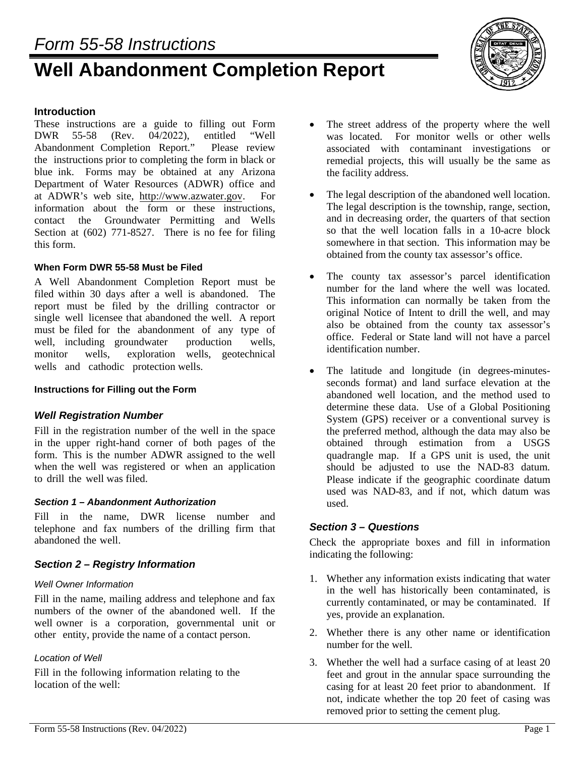# **Well Abandonment Completion Report**



#### **Introduction**

These instructions are a guide to filling out Form DWR 55-58 (Rev. 04/2022), entitled "Well<br>Abandonment Completion Report." Please review Abandonment Completion Report." the instructions prior to completing the form in black or blue ink. Forms may be obtained at any Arizona Department of Water Resources (ADWR) office and at ADWR's web site, http://www.azwater.gov. For information about the form or these instructions, contact the Groundwater Permitting and Wells Section at (602) 771-8527. There is no fee for filing this form.

#### **When Form DWR 55-58 Must be Filed**

A Well Abandonment Completion Report must be filed within 30 days after a well is abandoned. The report must be filed by the drilling contractor or single well licensee that abandoned the well. A report must be filed for the abandonment of any type of well, including groundwater production wells, monitor wells, exploration wells, geotechnical wells and cathodic protection wells.

#### **Instructions for Filling out the Form**

## *Well Registration Number*

Fill in the registration number of the well in the space in the upper right-hand corner of both pages of the form. This is the number ADWR assigned to the well when the well was registered or when an application to drill the well was filed.

#### *Section 1 – Abandonment Authorization*

Fill in the name, DWR license number and telephone and fax numbers of the drilling firm that abandoned the well.

## *Section 2 – Registry Information*

#### *Well Owner Information*

Fill in the name, mailing address and telephone and fax numbers of the owner of the abandoned well. If the well owner is a corporation, governmental unit or other entity, provide the name of a contact person.

## *Location of Well*

Fill in the following information relating to the location of the well:

- The street address of the property where the well was located. For monitor wells or other wells associated with contaminant investigations or remedial projects, this will usually be the same as the facility address.
- The legal description of the abandoned well location. The legal description is the township, range, section, and in decreasing order, the quarters of that section so that the well location falls in a 10-acre block somewhere in that section. This information may be obtained from the county tax assessor's office.
- The county tax assessor's parcel identification number for the land where the well was located. This information can normally be taken from the original Notice of Intent to drill the well, and may also be obtained from the county tax assessor's office. Federal or State land will not have a parcel identification number.
- The latitude and longitude (in degrees-minutesseconds format) and land surface elevation at the abandoned well location, and the method used to determine these data. Use of a Global Positioning System (GPS) receiver or a conventional survey is the preferred method, although the data may also be obtained through estimation from a USGS quadrangle map. If a GPS unit is used, the unit should be adjusted to use the NAD-83 datum. Please indicate if the geographic coordinate datum used was NAD-83, and if not, which datum was used.

#### *Section 3 – Questions*

Check the appropriate boxes and fill in information indicating the following:

- 1. Whether any information exists indicating that water in the well has historically been contaminated, is currently contaminated, or may be contaminated. If yes, provide an explanation.
- 2. Whether there is any other name or identification number for the well.
- 3. Whether the well had a surface casing of at least 20 feet and grout in the annular space surrounding the casing for at least 20 feet prior to abandonment. If not, indicate whether the top 20 feet of casing was removed prior to setting the cement plug.